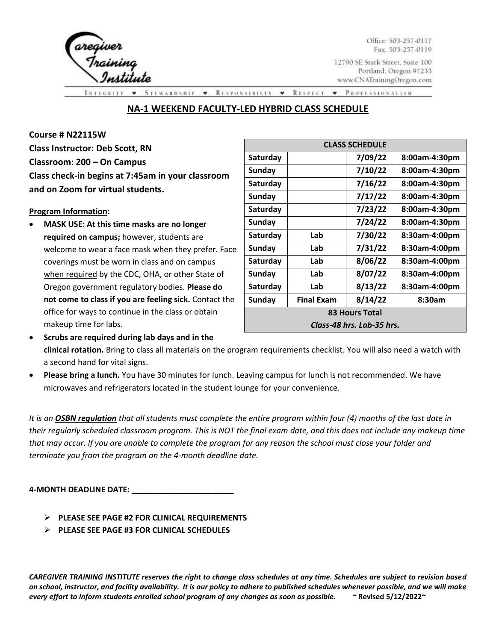

Office: 503-257-0117 Fax: 503-257-0119

12790 SE Stark Street, Suite 100 Portland, Oregon 97233 www.CNATrainingOregon.com

**RESPONSIBILTY** RESPECT  $\mathbf{v}$  $\check{~}$  $\bullet$ PROFESSIONALISM.

## **NA-1 WEEKEND FACULTY-LED HYBRID CLASS SCHEDULE**

**Course # N22115W** 

**Class Instructor: Deb Scott, RN Classroom: 200 – On Campus Class check-in begins at 7:45am in your classroom and on Zoom for virtual students.** 

#### **Program Information:**

• **MASK USE: At this time masks are no longer required on campus;** however, students are welcome to wear a face mask when they prefer. Face coverings must be worn in class and on campus when required by the CDC, OHA, or other State of Oregon government regulatory bodies. **Please do not come to class if you are feeling sick.** Contact the office for ways to continue in the class or obtain makeup time for labs.

| <b>CLASS SCHEDULE</b>     |                   |         |               |  |  |
|---------------------------|-------------------|---------|---------------|--|--|
| Saturday                  |                   | 7/09/22 | 8:00am-4:30pm |  |  |
| Sunday                    |                   | 7/10/22 | 8:00am-4:30pm |  |  |
| Saturday                  |                   | 7/16/22 | 8:00am-4:30pm |  |  |
| Sunday                    |                   | 7/17/22 | 8:00am-4:30pm |  |  |
| Saturday                  |                   | 7/23/22 | 8:00am-4:30pm |  |  |
| Sunday                    |                   | 7/24/22 | 8:00am-4:30pm |  |  |
| Saturday                  | Lab               | 7/30/22 | 8:30am-4:00pm |  |  |
| <b>Sunday</b>             | Lab               | 7/31/22 | 8:30am-4:00pm |  |  |
| Saturday                  | Lab               | 8/06/22 | 8:30am-4:00pm |  |  |
| <b>Sunday</b>             | Lab               | 8/07/22 | 8:30am-4:00pm |  |  |
| Saturday                  | Lab               | 8/13/22 | 8:30am-4:00pm |  |  |
| Sunday                    | <b>Final Exam</b> | 8/14/22 | 8:30am        |  |  |
| <b>83 Hours Total</b>     |                   |         |               |  |  |
| Class-48 hrs. Lab-35 hrs. |                   |         |               |  |  |

- **Scrubs are required during lab days and in the clinical rotation.** Bring to class all materials on the program requirements checklist. You will also need a watch with a second hand for vital signs.
- **Please bring a lunch.** You have 30 minutes for lunch. Leaving campus for lunch is not recommended. We have microwaves and refrigerators located in the student lounge for your convenience.

*It is an OSBN regulation that all students must complete the entire program within four (4) months of the last date in their regularly scheduled classroom program. This is NOT the final exam date, and this does not include any makeup time that may occur. If you are unable to complete the program for any reason the school must close your folder and terminate you from the program on the 4-month deadline date.* 

**4-MONTH DEADLINE DATE: \_\_\_\_\_\_\_\_\_\_\_\_\_\_\_\_\_\_\_\_\_\_\_**

- ➢ **PLEASE SEE PAGE #2 FOR CLINICAL REQUIREMENTS**
- ➢ **PLEASE SEE PAGE #3 FOR CLINICAL SCHEDULES**

*CAREGIVER TRAINING INSTITUTE reserves the right to change class schedules at any time. Schedules are subject to revision based on school, instructor, and facility availability. It is our policy to adhere to published schedules whenever possible, and we will make every effort to inform students enrolled school program of any changes as soon as possible. ~* **Revised 5/12/2022~**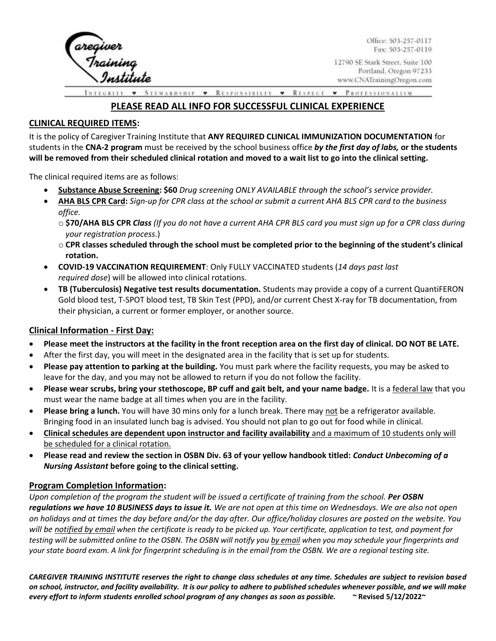

Office: 503-257-0117 Fax: 503-257-0119

12790 SE Stark Street, Suite 100 Portland, Oregon 97233 www.CNATrainingOregon.com

**STEWARDSHIP** RESPONSIBILTY • RESPECT • PROFESSIONALISM.  $\pmb{\mathrm{v}}$ 

# **PLEASE READ ALL INFO FOR SUCCESSFUL CLINICAL EXPERIENCE**

## **CLINICAL REQUIRED ITEMS:**

It is the policy of Caregiver Training Institute that **ANY REQUIRED CLINICAL IMMUNIZATION DOCUMENTATION** for students in the **CNA-2 program** must be received by the school business office *by the first day of labs,* **or the students will be removed from their scheduled clinical rotation and moved to a wait list to go into the clinical setting.**

The clinical required items are as follows:

- **Substance Abuse Screening: \$60** *Drug screening ONLY AVAILABLE through the school's service provider.*
- **AHA BLS CPR Card:** *Sign-up for CPR class at the school or submit a current AHA BLS CPR card to the business office.*

o **\$70/AHA BLS CPR** *Class (If you do not have a current AHA CPR BLS card you must sign up for a CPR class during your registration process*.)

- o **CPR classes scheduled through the school must be completed prior to the beginning of the student's clinical rotation.**
- **COVID-19 VACCINATION REQUIREMENT**: Only FULLY VACCINATED students (*14 days past last required dose*) will be allowed into clinical rotations.
- **TB (Tuberculosis) Negative test results documentation.** Students may provide a copy of a current QuantiFERON Gold blood test, T-SPOT blood test, TB Skin Test (PPD), and/or current Chest X-ray for TB documentation, from their physician, a current or former employer, or another source.

### **Clinical Information - First Day:**

- **Please meet the instructors at the facility in the front reception area on the first day of clinical. DO NOT BE LATE.**
- After the first day, you will meet in the designated area in the facility that is set up for students.
- **Please pay attention to parking at the building.** You must park where the facility requests, you may be asked to leave for the day, and you may not be allowed to return if you do not follow the facility.
- **Please wear scrubs, bring your stethoscope, BP cuff and gait belt, and your name badge.** It is a federal law that you must wear the name badge at all times when you are in the facility.
- **Please bring a lunch.** You will have 30 mins only for a lunch break. There may not be a refrigerator available. Bringing food in an insulated lunch bag is advised. You should not plan to go out for food while in clinical.
- **Clinical schedules are dependent upon instructor and facility availability** and a maximum of 10 students only will be scheduled for a clinical rotation.
- **Please read and review the section in OSBN Div. 63 of your yellow handbook titled:** *Conduct Unbecoming of a Nursing Assistant* **before going to the clinical setting.**

### **Program Completion Information:**

*Upon completion of the program the student will be issued a certificate of training from the school. Per OSBN regulations we have 10 BUSINESS days to issue it. We are not open at this time on Wednesdays. We are also not open on holidays and at times the day before and/or the day after. Our office/holiday closures are posted on the website. You will be notified by email when the certificate is ready to be picked up. Your certificate, application to test, and payment for testing will be submitted online to the OSBN. The OSBN will notify you by email when you may schedule your fingerprints and your state board exam. A link for fingerprint scheduling is in the email from the OSBN. We are a regional testing site.* 

*CAREGIVER TRAINING INSTITUTE reserves the right to change class schedules at any time. Schedules are subject to revision based on school, instructor, and facility availability. It is our policy to adhere to published schedules whenever possible, and we will make every effort to inform students enrolled school program of any changes as soon as possible. ~* **Revised 5/12/2022~**